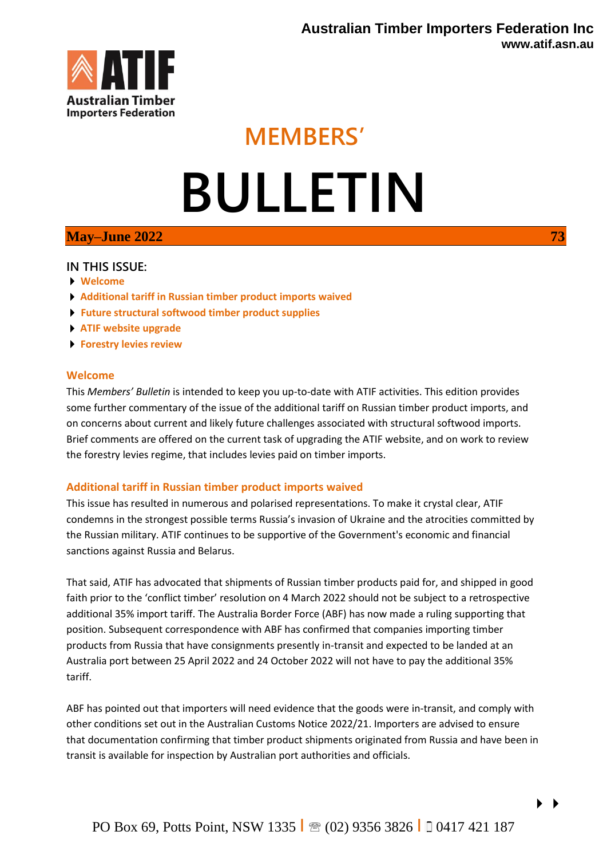

## **MEMBERS'**

# **BULLETIN**

### **May–June 2022 73**

#### **IN THIS ISSUE:**

- **Welcome**
- **Additional tariff in Russian timber product imports waived**
- **Future structural softwood timber product supplies**
- **ATIF website upgrade**
- **Forestry levies review**

#### **Welcome**

This *Members' Bulletin* is intended to keep you up-to-date with ATIF activities. This edition provides some further commentary of the issue of the additional tariff on Russian timber product imports, and on concerns about current and likely future challenges associated with structural softwood imports. Brief comments are offered on the current task of upgrading the ATIF website, and on work to review the forestry levies regime, that includes levies paid on timber imports.

#### **Additional tariff in Russian timber product imports waived**

This issue has resulted in numerous and polarised representations. To make it crystal clear, ATIF condemns in the strongest possible terms Russia's invasion of Ukraine and the atrocities committed by the Russian military. ATIF continues to be supportive of the Government's economic and financial sanctions against Russia and Belarus.

That said, ATIF has advocated that shipments of Russian timber products paid for, and shipped in good faith prior to the 'conflict timber' resolution on 4 March 2022 should not be subject to a retrospective additional 35% import tariff. The Australia Border Force (ABF) has now made a ruling supporting that position. Subsequent correspondence with ABF has confirmed that companies importing timber products from Russia that have consignments presently in-transit and expected to be landed at an Australia port between 25 April 2022 and 24 October 2022 will not have to pay the additional 35% tariff.

ABF has pointed out that importers will need evidence that the goods were in-transit, and comply with other conditions set out in the Australian Customs Notice 2022/21. Importers are advised to ensure that documentation confirming that timber product shipments originated from Russia and have been in transit is available for inspection by Australian port authorities and officials.

 $\blacktriangleright$